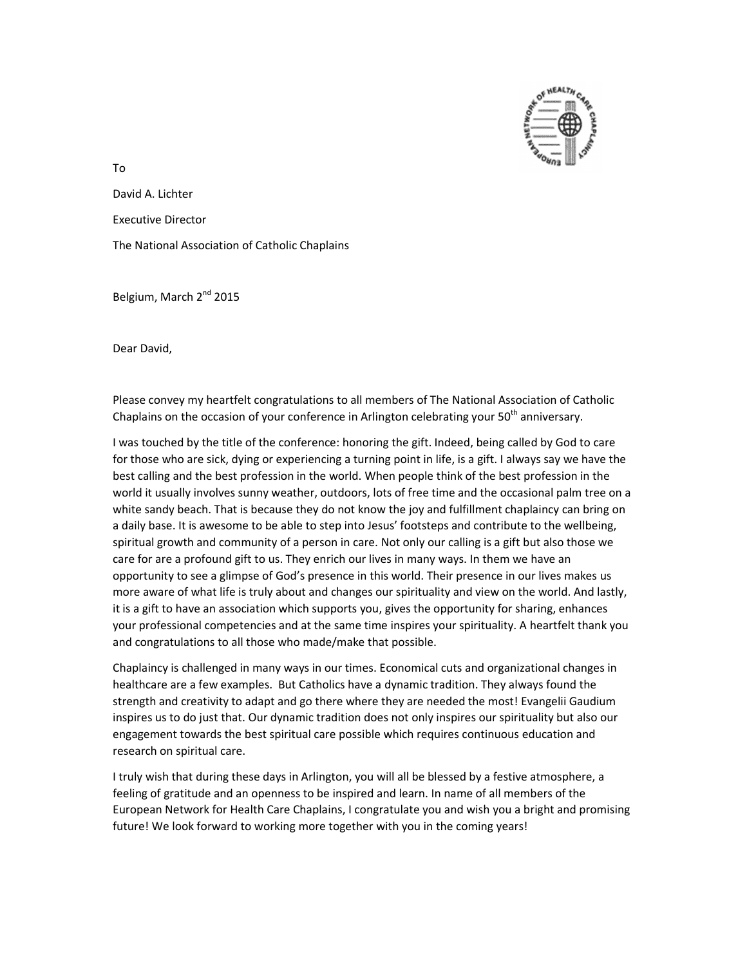

To

David A. Lichter

Executive Director

The National Association of Catholic Chaplains

Belgium, March 2<sup>nd</sup> 2015

Dear David,

Please convey my heartfelt congratulations to all members of The National Association of Catholic Chaplains on the occasion of your conference in Arlington celebrating your  $50<sup>th</sup>$  anniversary.

I was touched by the title of the conference: honoring the gift. Indeed, being called by God to care for those who are sick, dying or experiencing a turning point in life, is a gift. I always say we have the best calling and the best profession in the world. When people think of the best profession in the world it usually involves sunny weather, outdoors, lots of free time and the occasional palm tree on a white sandy beach. That is because they do not know the joy and fulfillment chaplaincy can bring on a daily base. It is awesome to be able to step into Jesus' footsteps and contribute to the wellbeing, spiritual growth and community of a person in care. Not only our calling is a gift but also those we care for are a profound gift to us. They enrich our lives in many ways. In them we have an opportunity to see a glimpse of God's presence in this world. Their presence in our lives makes us more aware of what life is truly about and changes our spirituality and view on the world. And lastly, it is a gift to have an association which supports you, gives the opportunity for sharing, enhances your professional competencies and at the same time inspires your spirituality. A heartfelt thank you and congratulations to all those who made/make that possible.

Chaplaincy is challenged in many ways in our times. Economical cuts and organizational changes in healthcare are a few examples. But Catholics have a dynamic tradition. They always found the strength and creativity to adapt and go there where they are needed the most! Evangelii Gaudium inspires us to do just that. Our dynamic tradition does not only inspires our spirituality but also our engagement towards the best spiritual care possible which requires continuous education and research on spiritual care.

I truly wish that during these days in Arlington, you will all be blessed by a festive atmosphere, a feeling of gratitude and an openness to be inspired and learn. In name of all members of the European Network for Health Care Chaplains, I congratulate you and wish you a bright and promising future! We look forward to working more together with you in the coming years!